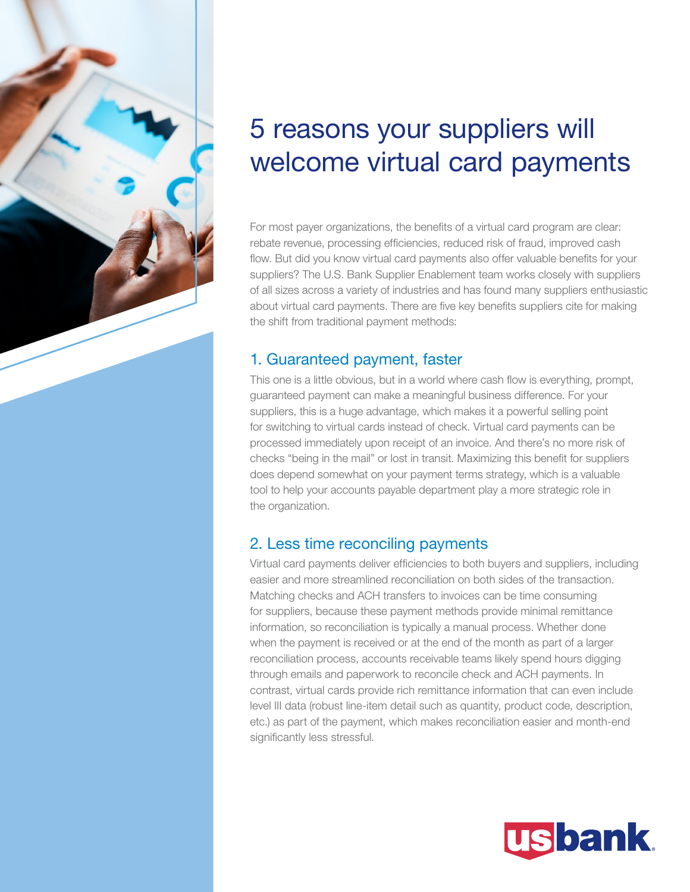

# 5 reasons your suppliers will welcome virtual card payments

For most payer organizations, the benefits of a virtual card program are clear: rebate revenue, processing efficiencies, reduced risk of fraud, improved cash flow. But did you know virtual card payments also offer valuable benefits for your suppliers? The U.S. Bank Supplier Enablement team works closely with suppliers of all sizes across a variety of industries and has found many suppliers enthusiastic about virtual card payments. There are five key benefits suppliers cite for making the shift from traditional payment methods:

#### 1. Guaranteed payment, faster

This one is a little obvious, but in a world where cash flow is everything, prompt, guaranteed payment can make a meaningful business difference. For your suppliers, this is a huge advantage, which makes it a powerful selling point for switching to virtual cards instead of check. Virtual card payments can be processed immediately upon receipt of an invoice. And there's no more risk of checks "being in the mail" or lost in transit. Maximizing this benefit for suppliers does depend somewhat on your payment terms strategy, which is a valuable tool to help your accounts payable department play a more strategic role in the organization.

## 2. Less time reconciling payments

Virtual card payments deliver efficiencies to both buyers and suppliers, including easier and more streamlined reconciliation on both sides of the transaction. Matching checks and ACH transfers to invoices can be time consuming for suppliers, because these payment methods provide minimal remittance information, so reconciliation is typically a manual process. Whether done when the payment is received or at the end of the month as part of a larger reconciliation process, accounts receivable teams likely spend hours digging through emails and paperwork to reconcile check and ACH payments. In contrast, virtual cards provide rich remittance information that can even include level III data (robust line-item detail such as quantity, product code, description, etc.) as part of the payment, which makes reconciliation easier and month-end significantly less stressful.